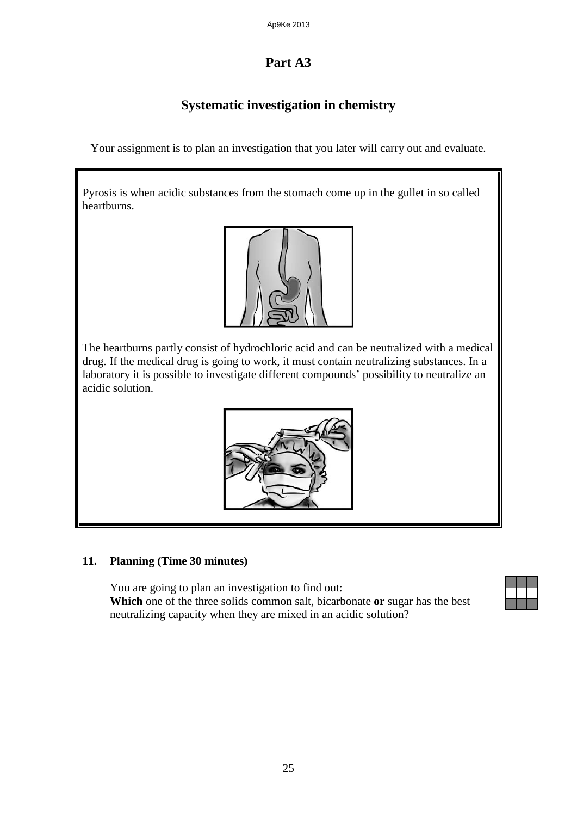# **Part A3**

## **Systematic investigation in chemistry**

Your assignment is to plan an investigation that you later will carry out and evaluate.

Pyrosis is when acidic substances from the stomach come up in the gullet in so called heartburns.



The heartburns partly consist of hydrochloric acid and can be neutralized with a medical drug. If the medical drug is going to work, it must contain neutralizing substances. In a laboratory it is possible to investigate different compounds' possibility to neutralize an acidic solution.



#### **11. Planning (Time 30 minutes)**

You are going to plan an investigation to find out: **Which** one of the three solids common salt, bicarbonate **or** sugar has the best neutralizing capacity when they are mixed in an acidic solution?